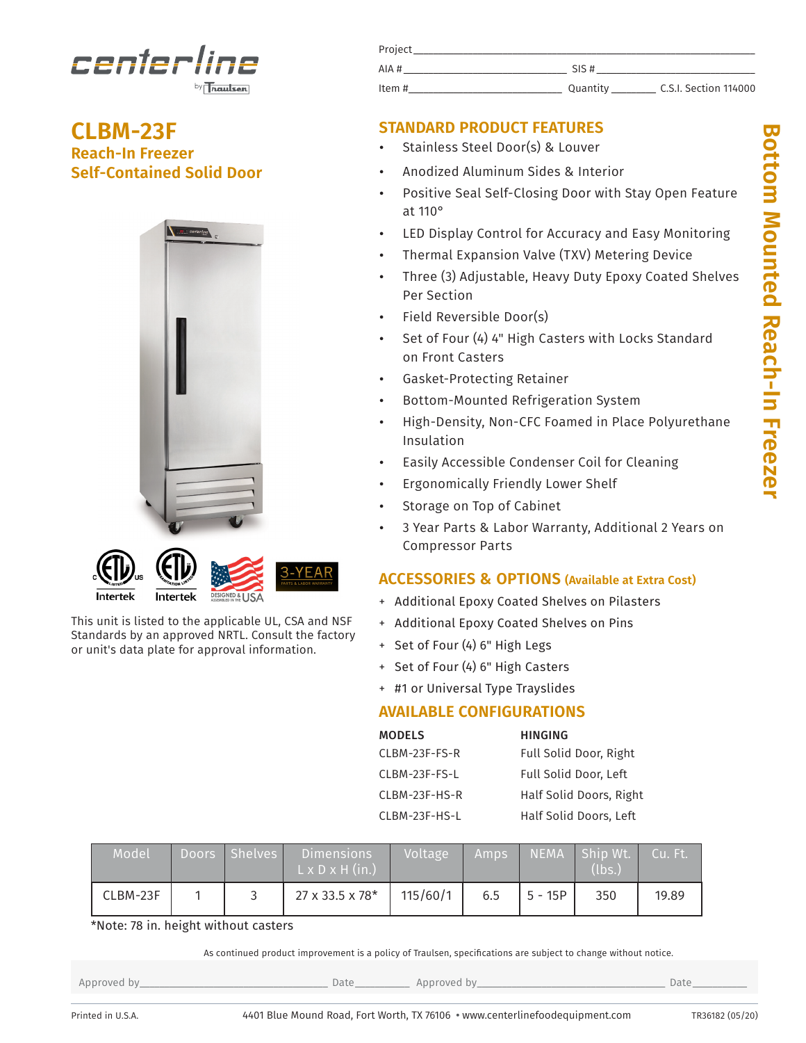

**CLBM-23F Reach-In Freezer Self-Contained Solid Door**





This unit is listed to the applicable UL, CSA and NSF Standards by an approved NRTL. Consult the factory or unit's data plate for approval information.

| Project |          |                       |
|---------|----------|-----------------------|
| AIA#    | SIS#     |                       |
| ltem #  | Quantity | C.S.I. Section 114000 |

# **STANDARD PRODUCT FEATURES**

- Stainless Steel Door(s) & Louver
- Anodized Aluminum Sides & Interior
- Positive Seal Self-Closing Door with Stay Open Feature at 110°
- LED Display Control for Accuracy and Easy Monitoring
- Thermal Expansion Valve (TXV) Metering Device
- Three (3) Adjustable, Heavy Duty Epoxy Coated Shelves Per Section
- Field Reversible Door(s)
- Set of Four (4) 4" High Casters with Locks Standard on Front Casters
- Gasket-Protecting Retainer
- Bottom-Mounted Refrigeration System
- High-Density, Non-CFC Foamed in Place Polyurethane Insulation
- Easily Accessible Condenser Coil for Cleaning
- Ergonomically Friendly Lower Shelf
- Storage on Top of Cabinet
- 3 Year Parts & Labor Warranty, Additional 2 Years on Compressor Parts

## **ACCESSORIES & OPTIONS (Available at Extra Cost)**

- + Additional Epoxy Coated Shelves on Pilasters
- + Additional Epoxy Coated Shelves on Pins
- + Set of Four (4) 6" High Legs
- + Set of Four (4) 6" High Casters
- + #1 or Universal Type Trayslides

# **AVAILABLE CONFIGURATIONS**

| <b>MODELS</b>    | <b>HINGING</b>          |
|------------------|-------------------------|
| CLBM-23F-FS-R    | Full Solid Door, Right  |
| $CI$ BM-23F-FS-L | Full Solid Door, Left   |
| $CI$ BM-23F-HS-R | Half Solid Doors, Right |
| CLBM-23F-HS-L    | Half Solid Doors, Left  |

| Model    | Doors <b>Doors</b> | Shelves | <b>Dimensions</b><br>$L \times D \times H$ (in.) | Voltage  | 'Amps | <b>NEMA</b> | Ship Wt.<br>(lbs.) | Cu. Ft. |
|----------|--------------------|---------|--------------------------------------------------|----------|-------|-------------|--------------------|---------|
| CLBM-23F |                    |         | 27 x 33.5 x 78*                                  | 115/60/1 | 6.5   | $5 - 15P$   | 350                | 19.89   |

\*Note: 78 in. height without casters

As continued product improvement is a policy of Traulsen, specifications are subject to change without notice.

Approved by\_\_\_\_\_\_\_\_\_\_\_\_\_\_\_\_\_\_\_\_\_\_\_\_\_\_\_\_\_\_\_\_\_\_\_\_\_\_ Date\_\_\_\_\_\_\_\_\_\_\_ Approved by\_\_\_\_\_\_\_\_\_\_\_\_\_\_\_\_\_\_\_\_\_\_\_\_\_\_\_\_\_\_\_\_\_\_\_\_\_\_ Date\_\_\_\_\_\_\_\_\_\_\_